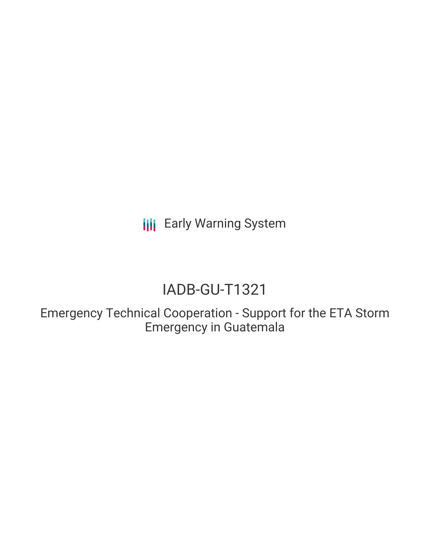**III** Early Warning System

# IADB-GU-T1321

Emergency Technical Cooperation - Support for the ETA Storm Emergency in Guatemala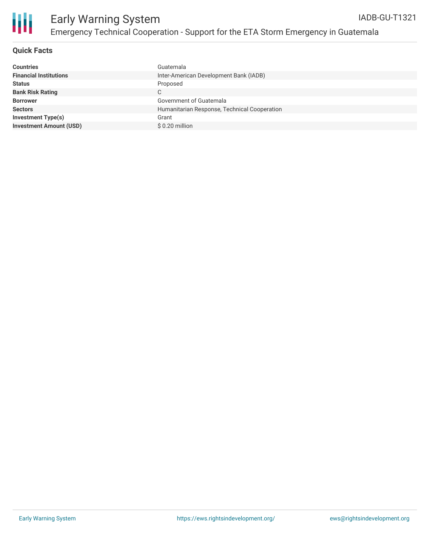

## **Quick Facts**

| <b>Countries</b>               | Guatemala                                    |
|--------------------------------|----------------------------------------------|
| <b>Financial Institutions</b>  | Inter-American Development Bank (IADB)       |
| <b>Status</b>                  | Proposed                                     |
| <b>Bank Risk Rating</b>        | С                                            |
| <b>Borrower</b>                | Government of Guatemala                      |
| <b>Sectors</b>                 | Humanitarian Response, Technical Cooperation |
| <b>Investment Type(s)</b>      | Grant                                        |
| <b>Investment Amount (USD)</b> | \$0.20 million                               |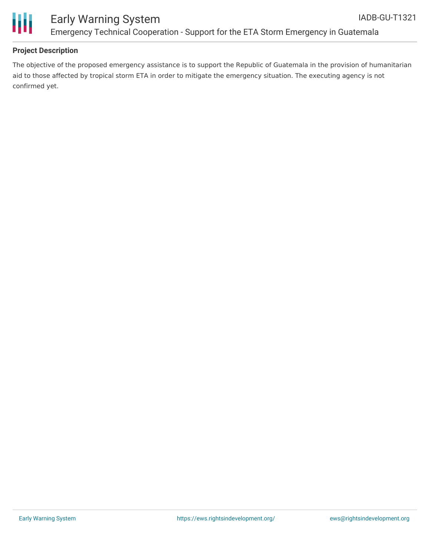



## **Project Description**

The objective of the proposed emergency assistance is to support the Republic of Guatemala in the provision of humanitarian aid to those affected by tropical storm ETA in order to mitigate the emergency situation. The executing agency is not confirmed yet.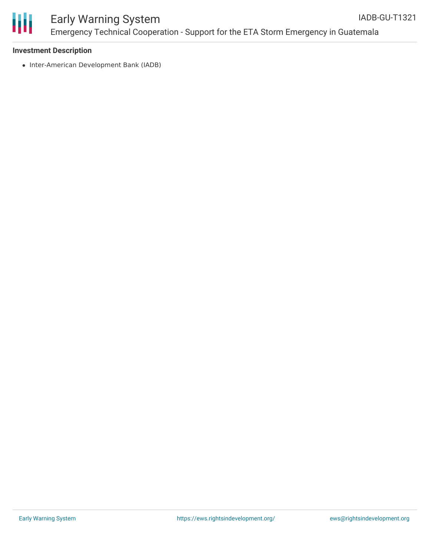

#### Early Warning System Emergency Technical Cooperation - Support for the ETA Storm Emergency in Guatemala IADB-GU-T1321

#### **Investment Description**

• Inter-American Development Bank (IADB)